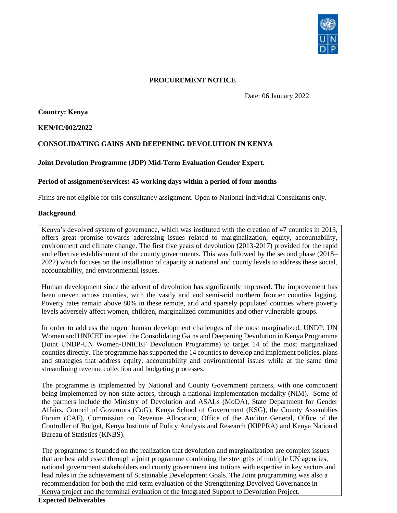

# **PROCUREMENT NOTICE**

Date: 06 January 2022

 **Country: Kenya**

**KEN/IC/002/2022**

# **CONSOLIDATING GAINS AND DEEPENING DEVOLUTION IN KENYA**

### **Joint Devolution Programme (JDP) Mid-Term Evaluation Gender Expert.**

### **Period of assignment/services: 45 working days within a period of four months**

Firms are not eligible for this consultancy assignment. Open to National Individual Consultants only.

#### **Background**

Kenya's devolved system of governance, which was instituted with the creation of 47 counties in 2013, offers great promise towards addressing issues related to marginalization, equity, accountability, environment and climate change. The first five years of devolution (2013-2017) provided for the rapid and effective establishment of the county governments. This was followed by the second phase (2018– 2022) which focuses on the installation of capacity at national and county levels to address these social, accountability, and environmental issues.

Human development since the advent of devolution has significantly improved. The improvement has been uneven across counties, with the vastly arid and semi-arid northern frontier counties lagging. Poverty rates remain above 80% in these remote, arid and sparsely populated counties where poverty levels adversely affect women, children, marginalized communities and other vulnerable groups.

In order to address the urgent human development challenges of the most marginalized, UNDP, UN Women and UNICEF incepted the Consolidating Gains and Deepening Devolution in Kenya Programme (Joint UNDP-UN Women-UNICEF Devolution Programme) to target 14 of the most marginalized counties directly. The programme has supported the 14 counties to develop and implement policies, plans and strategies that address equity, accountability and environmental issues while at the same time streamlining revenue collection and budgeting processes.

The programme is implemented by National and County Government partners, with one component being implemented by non-state actors, through a national implementation modality (NIM). Some of the partners include the Ministry of Devolution and ASALs (MoDA), State Department for Gender Affairs, Council of Governors (CoG), Kenya School of Government (KSG), the County Assemblies Forum (CAF), Commission on Revenue Allocation, Office of the Auditor General, Office of the Controller of Budget, Kenya Institute of Policy Analysis and Research (KIPPRA) and Kenya National Bureau of Statistics (KNBS).

The programme is founded on the realization that devolution and marginalization are complex issues that are best addressed through a joint programme combining the strengths of multiple UN agencies, national government stakeholders and county government institutions with expertise in key sectors and lead roles in the achievement of Sustainable Development Goals. The Joint programming was also a recommendation for both the mid-term evaluation of the Strengthening Devolved Governance in Kenya project and the terminal evaluation of the Integrated Support to Devolution Project.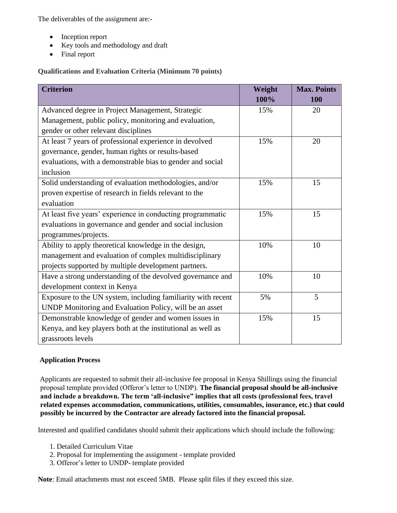The deliverables of the assignment are:-

- Inception report
- Key tools and methodology and draft
- Final report

**Qualifications and Evaluation Criteria (Minimum 70 points)**

| <b>Criterion</b>                                             | Weight | <b>Max. Points</b> |
|--------------------------------------------------------------|--------|--------------------|
|                                                              | 100%   | 100                |
| Advanced degree in Project Management, Strategic             | 15%    | 20                 |
| Management, public policy, monitoring and evaluation,        |        |                    |
| gender or other relevant disciplines                         |        |                    |
| At least 7 years of professional experience in devolved      | 15%    | 20                 |
| governance, gender, human rights or results-based            |        |                    |
| evaluations, with a demonstrable bias to gender and social   |        |                    |
| inclusion                                                    |        |                    |
| Solid understanding of evaluation methodologies, and/or      | 15%    | 15                 |
| proven expertise of research in fields relevant to the       |        |                    |
| evaluation                                                   |        |                    |
| At least five years' experience in conducting programmatic   | 15%    | 15                 |
| evaluations in governance and gender and social inclusion    |        |                    |
| programmes/projects.                                         |        |                    |
| Ability to apply theoretical knowledge in the design,        | 10%    | 10                 |
| management and evaluation of complex multidisciplinary       |        |                    |
| projects supported by multiple development partners.         |        |                    |
| Have a strong understanding of the devolved governance and   | 10%    | 10                 |
| development context in Kenya                                 |        |                    |
| Exposure to the UN system, including familiarity with recent | 5%     | 5                  |
| UNDP Monitoring and Evaluation Policy, will be an asset      |        |                    |
| Demonstrable knowledge of gender and women issues in         | 15%    | 15                 |
| Kenya, and key players both at the institutional as well as  |        |                    |
| grassroots levels                                            |        |                    |

# **Application Process**

Applicants are requested to submit their all-inclusive fee proposal in Kenya Shillings using the financial proposal template provided (Offeror's letter to UNDP). **The financial proposal should be all-inclusive and include a breakdown. The term 'all-inclusive" implies that all costs (professional fees, travel related expenses accommodation, communications, utilities, consumables, insurance, etc.) that could possibly be incurred by the Contractor are already factored into the financial proposal.** 

Interested and qualified candidates should submit their applications which should include the following:

- 1. Detailed Curriculum Vitae
- 2. Proposal for implementing the assignment template provided
- 3. Offeror's letter to UNDP- template provided

**Note**: Email attachments must not exceed 5MB. Please split files if they exceed this size.